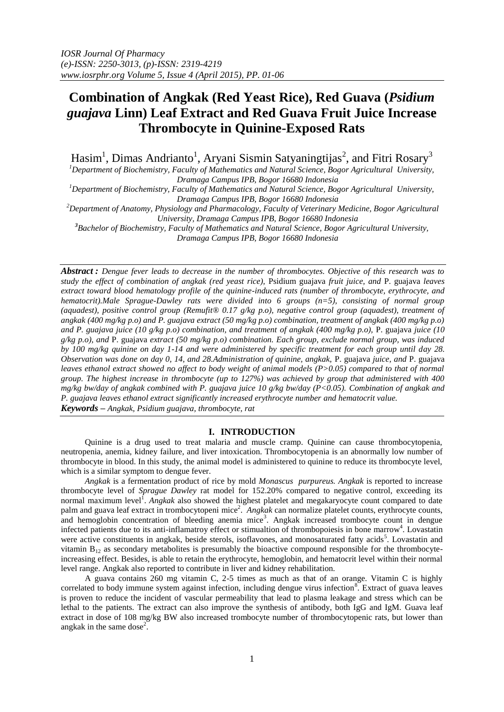# **Combination of Angkak (Red Yeast Rice), Red Guava (***Psidium guajava* **Linn) Leaf Extract and Red Guava Fruit Juice Increase Thrombocyte in Quinine-Exposed Rats**

Hasim<sup>1</sup>, Dimas Andrianto<sup>1</sup>, Aryani Sismin Satyaningtijas<sup>2</sup>, and Fitri Rosary<sup>3</sup>

*<sup>1</sup>Department of Biochemistry, Faculty of Mathematics and Natural Science, Bogor Agricultural University, Dramaga Campus IPB, Bogor 16680 Indonesia*

*<sup>1</sup>Department of Biochemistry, Faculty of Mathematics and Natural Science, Bogor Agricultural University, Dramaga Campus IPB, Bogor 16680 Indonesia*

*<sup>2</sup>Department of Anatomy, Physiology and Pharmacology, Faculty of Veterinary Medicine, Bogor Agricultural University, Dramaga Campus IPB, Bogor 16680 Indonesia*

*<sup>3</sup>Bachelor of Biochemistry, Faculty of Mathematics and Natural Science, Bogor Agricultural University, Dramaga Campus IPB, Bogor 16680 Indonesia*

*Abstract : Dengue fever leads to decrease in the number of thrombocytes. Objective of this research was to study the effect of combination of angkak (red yeast rice),* Psidium guajava *fruit juice, and* P. guajava *leaves extract toward blood hematology profile of the quinine-induced rats (number of thrombocyte, erythrocyte, and hematocrit).Male Sprague-Dawley rats were divided into 6 groups (n=5), consisting of normal group (aquadest), positive control group (Remufit® 0.17 g/kg p.o), negative control group (aquadest), treatment of angkak (400 mg/kg p.o) and P. guajava extract (50 mg/kg p.o) combination, treatment of angkak (400 mg/kg p.o) and P. guajava juice (10 g/kg p.o) combination, and treatment of angkak (400 mg/kg p.o),* P. guajava *juice (10 g/kg p.o), and* P. guajava *extract (50 mg/kg p.o) combination. Each group, exclude normal group, was induced by 100 mg/kg quinine on day 1-14 and were administered by specific treatment for each group until day 28. Observation was done on day 0, 14, and 28.Administration of quinine, angkak,* P. guajava *juice, and* P. guajava *leaves ethanol extract showed no affect to body weight of animal models (P>0.05) compared to that of normal group. The highest increase in thrombocyte (up to 127%) was achieved by group that administered with 400 mg/kg bw/day of angkak combined with P. guajava juice 10 g/kg bw/day (P<0.05). Combination of angkak and P. guajava leaves ethanol extract significantly increased erythrocyte number and hematocrit value.*

*Keywords – Angkak, Psidium guajava, thrombocyte, rat*

## **I. INTRODUCTION**

Quinine is a drug used to treat malaria and muscle cramp. Quinine can cause thrombocytopenia, neutropenia, anemia, kidney failure, and liver intoxication. Thrombocytopenia is an abnormally low number of thrombocyte in blood. In this study, the animal model is administered to quinine to reduce its thrombocyte level, which is a similar symptom to dengue fever.

*Angkak* is a fermentation product of rice by mold *Monascus purpureus. Angkak* is reported to increase thrombocyte level of *Sprague Dawley* rat model for 152.20% compared to negative control, exceeding its normal maximum level<sup>1</sup>. *Angkak* also showed the highest platelet and megakaryocyte count compared to date palm and guava leaf extract in trombocytopeni mice<sup>2</sup>. *Angkak* can normalize platelet counts, erythrocyte counts, and hemoglobin concentration of bleeding anemia mice<sup>3</sup>. Angkak increased trombocyte count in dengue infected patients due to its anti-inflamatroy effect or stimualtion of thrombopoiesis in bone marrow<sup>4</sup>. Lovastatin were active constituents in angkak, beside sterols, isoflavones, and monosaturated fatty acids<sup>5</sup>. Lovastatin and vitamin  $B_{12}$  as secondary metabolites is presumably the bioactive compound responsible for the thrombocyteincreasing effect. Besides, is able to retain the erythrocyte, hemoglobin, and hematocrit level within their normal level range. Angkak also reported to contribute in liver and kidney rehabilitation.

A guava contains 260 mg vitamin C, 2-5 times as much as that of an orange. Vitamin C is highly correlated to body immune system against infection, including dengue virus infection<sup>8</sup>. Extract of guava leaves is proven to reduce the incident of vascular permeability that lead to plasma leakage and stress which can be lethal to the patients. The extract can also improve the synthesis of antibody, both IgG and IgM. Guava leaf extract in dose of 108 mg/kg BW also increased trombocyte number of thrombocytopenic rats, but lower than angkak in the same dose<sup>2</sup>.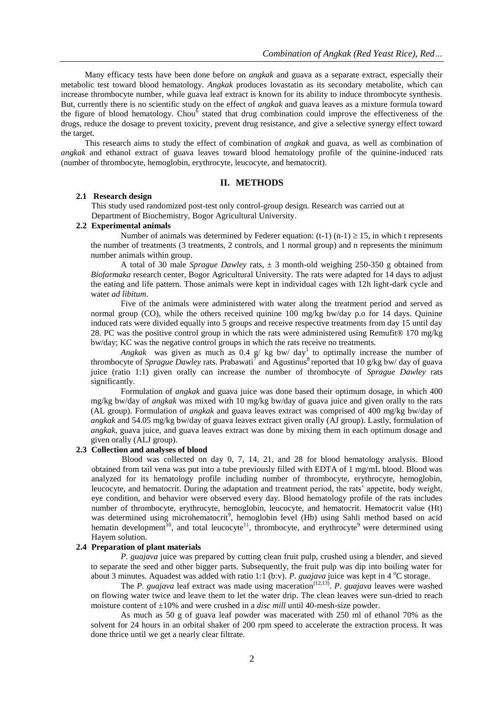Many efficacy tests have been done before on *angkak* and guava as a separate extract, especially their metabolic test toward blood hematology. *Angkak* produces lovastatin as its secondary metabolite, which can increase thrombocyte number, while guava leaf extract is known for its ability to induce thrombocyte synthesis. But, currently there is no scientific study on the effect of *angkak* and guava leaves as a mixture formula toward the figure of blood hematology. Chou<sup>6</sup> stated that drug combination could improve the effectiveness of the drugs, reduce the dosage to prevent toxicity, prevent drug resistance, and give a selective synergy effect toward the target.

This research aims to study the effect of combination of *angkak* and guava, as well as combination of *angkak* and ethanol extract of guava leaves toward blood hematology profile of the quinine-induced rats (number of thrombocyte, hemoglobin, erythrocyte, leucocyte, and hematocrit).

## **II. METHODS**

#### **2.1 Research design**

This study used randomized post-test only control-group design. Research was carried out at Department of Biochemistry, Bogor Agricultural University.

## **2.2 Experimental animals**

Number of animals was determined by Federer equation:  $(t-1)$  (n-1)  $\geq$  15, in which t represents the number of treatments (3 treatments, 2 controls, and 1 normal group) and n represents the minimum number animals within group.

A total of 30 male *Sprague Dawley* rats, ± 3 month-old weighing 250-350 g obtained from *Biofarmaka* research center, Bogor Agricultural University. The rats were adapted for 14 days to adjust the eating and life pattern. Those animals were kept in individual cages with 12h light-dark cycle and water *ad libitum*.

Five of the animals were administered with water along the treatment period and served as normal group (CO), while the others received quinine 100 mg/kg bw/day p.o for 14 days. Quinine induced rats were divided equally into 5 groups and receive respective treatments from day 15 until day 28. PC was the positive control group in which the rats were administered using Remufit® 170 mg/kg bw/day; KC was the negative control groups in which the rats receive no treatments.

*Angkak* was given as much as 0.4 g/ kg bw/ day<sup>1</sup> to optimally increase the number of thrombocyte of *Sprague Dawley* rats. Prabawati<sup>7</sup> and Agustinus<sup>8</sup> reported that 10 g/kg bw/ day of guava juice (ratio 1:1) given orally can increase the number of thrombocyte of *Sprague Dawley* rats significantly.

Formulation of *angkak* and guava juice was done based their optimum dosage, in which 400 mg/kg bw/day of *angkak* was mixed with 10 mg/kg bw/day of guava juice and given orally to the rats (AL group). Formulation of *angkak* and guava leaves extract was comprised of 400 mg/kg bw/day of *angkak* and 54.05 mg/kg bw/day of guava leaves extract given orally (AJ group). Lastly, formulation of *angkak*, guava juice, and guava leaves extract was done by mixing them in each optimum dosage and given orally (ALJ group).

### **2.3 Collection and analyses of blood**

Blood was collected on day 0, 7, 14, 21, and 28 for blood hematology analysis. Blood obtained from tail vena was put into a tube previously filled with EDTA of 1 mg/mL blood. Blood was analyzed for its hematology profile including number of thrombocyte, erythrocyte, hemoglobin, leucocyte, and hematocrit. During the adaptation and treatment period, the rats' appetite, body weight, eye condition, and behavior were observed every day. Blood hematology profile of the rats includes number of thrombocyte, erythrocyte, hemoglobin, leucocyte, and hematocrit. Hematocrit value (Ht) was determined using microhematocrit<sup>9</sup>, hemoglobin level (Hb) using Sahli method based on acid hematin development<sup>10</sup>, and total leucocyte<sup>11</sup>, thrombocyte, and erythrocyte<sup>9</sup> were determined using Hayem solution.

#### **2.4 Preparation of plant materials**

*P. guajava* juice was prepared by cutting clean fruit pulp, crushed using a blender, and sieved to separate the seed and other bigger parts. Subsequently, the fruit pulp was dip into boiling water for about 3 minutes. Aquadest was added with ratio 1:1 (b:v). *P. guajava* juice was kept in 4 °C storage.

The *P. guajava* leaf extract was made using maceration<sup> $(12,13)$ </sup>. *P. guajava* leaves were washed on flowing water twice and leave them to let the water drip. The clean leaves were sun-dried to reach moisture content of ±10% and were crushed in a *disc mill* until 40-mesh-size powder.

As much as 50 g of guava leaf powder was macerated with 250 ml of ethanol 70% as the solvent for 24 hours in an orbital shaker of 200 rpm speed to accelerate the extraction process. It was done thrice until we get a nearly clear filtrate.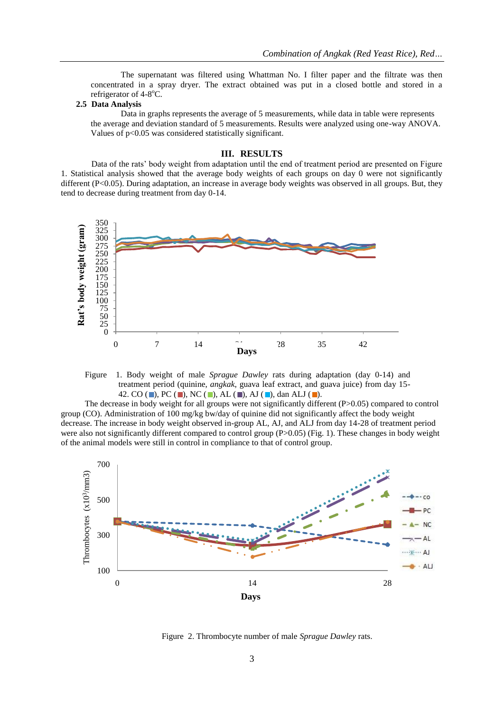The supernatant was filtered using Whattman No. I filter paper and the filtrate was then concentrated in a spray dryer. The extract obtained was put in a closed bottle and stored in a refrigerator of 4-8°C.

## **2.5 Data Analysis**

Data in graphs represents the average of 5 measurements, while data in table were represents the average and deviation standard of 5 measurements. Results were analyzed using one-way ANOVA. Values of p<0.05 was considered statistically significant.

#### **III. RESULTS**

Data of the rats' body weight from adaptation until the end of treatment period are presented on Figure 1. Statistical analysis showed that the average body weights of each groups on day 0 were not significantly different (P<0.05). During adaptation, an increase in average body weights was observed in all groups. But, they tend to decrease during treatment from day 0-14.



Figure 1. Body weight of male *Sprague Dawley* rats during adaptation (day 0-14) and treatment period (quinine, *angkak*, guava leaf extract, and guava juice) from day 15- 42. CO ( $\blacksquare$ ), PC ( $\blacksquare$ ), NC ( $\blacksquare$ ), AL ( $\blacksquare$ ), AJ ( $\blacksquare$ ), dan ALJ ( $\blacksquare$ ).

The decrease in body weight for all groups were not significantly different (P>0.05) compared to control group (CO). Administration of 100 mg/kg bw/day of quinine did not significantly affect the body weight decrease. The increase in body weight observed in-group AL, AJ, and ALJ from day 14-28 of treatment period were also not significantly different compared to control group (P>0.05) (Fig. 1). These changes in body weight of the animal models were still in control in compliance to that of control group.



Figure 2. Thrombocyte number of male *Sprague Dawley* rats.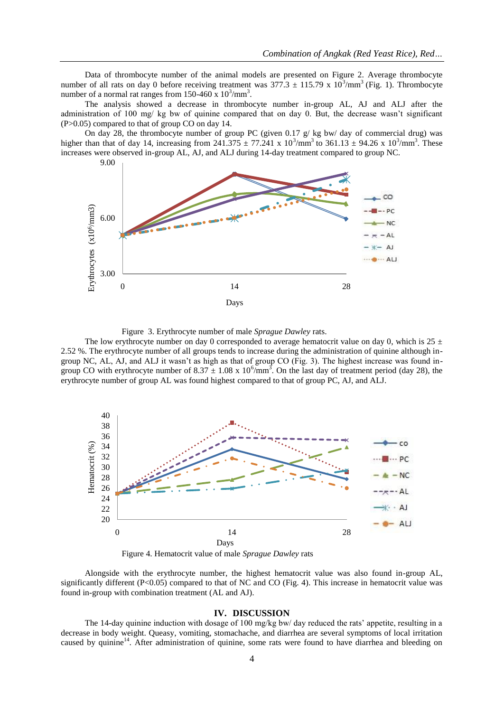Data of thrombocyte number of the animal models are presented on Figure 2. Average thrombocyte number of all rats on day 0 before receiving treatment was  $377.3 \pm 115.79 \times 10^3/\text{mm}^3$  (Fig. 1). Thrombocyte number of a normal rat ranges from  $150-460 \times 10^3/\text{mm}^3$ .

The analysis showed a decrease in thrombocyte number in-group AL, AJ and ALJ after the administration of 100 mg/ kg bw of quinine compared that on day 0. But, the decrease wasn't significant (P>0.05) compared to that of group CO on day 14.

On day 28, the thrombocyte number of group PC (given 0.17 g/ kg bw/ day of commercial drug) was higher than that of day 14, increasing from  $241.375 \pm 77.241 \times 10^3/\text{mm}^3$  to  $361.13 \pm 94.26 \times 10^3/\text{mm}^3$ . These increases were observed in-group AL, AJ, and ALJ during 14-day treatment compared to group NC.



Figure 3. Erythrocyte number of male *Sprague Dawley* rats.

The low erythrocyte number on day 0 corresponded to average hematocrit value on day 0, which is  $25 \pm$ 2.52 %. The erythrocyte number of all groups tends to increase during the administration of quinine although ingroup NC, AL, AJ, and ALJ it wasn't as high as that of group CO (Fig. 3). The highest increase was found ingroup CO with erythrocyte number of  $8.37 \pm 1.08 \times 10^6/\text{mm}^3$ . On the last day of treatment period (day 28), the erythrocyte number of group AL was found highest compared to that of group PC, AJ, and ALJ.



Figure 4. Hematocrit value of male *Sprague Dawley* rats

Alongside with the erythrocyte number, the highest hematocrit value was also found in-group AL, significantly different (P<0.05) compared to that of NC and CO (Fig. 4). This increase in hematocrit value was found in-group with combination treatment (AL and AJ).

### **IV. DISCUSSION**

The 14-day quinine induction with dosage of 100 mg/kg bw/ day reduced the rats' appetite, resulting in a decrease in body weight. Queasy, vomiting, stomachache, and diarrhea are several symptoms of local irritation caused by quinine<sup>14</sup>. After administration of quinine, some rats were found to have diarrhea and bleeding on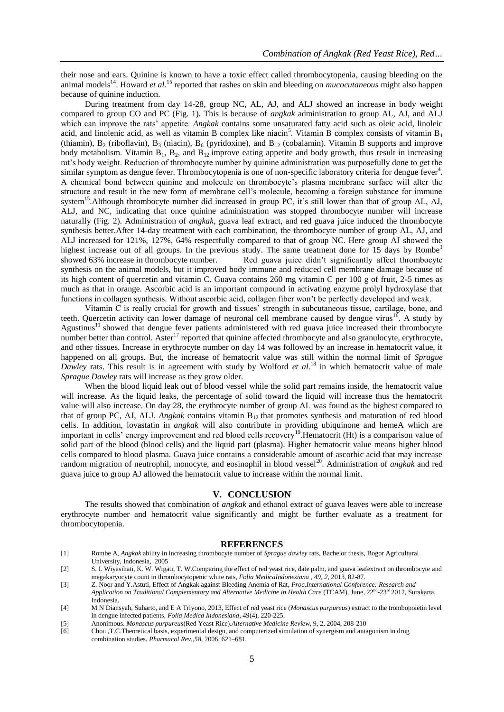their nose and ears. Quinine is known to have a toxic effect called thrombocytopenia, causing bleeding on the animal models<sup>14</sup>. Howard *et al.*<sup>15</sup> reported that rashes on skin and bleeding on *mucocutaneous* might also happen because of quinine induction.

During treatment from day 14-28, group NC, AL, AJ, and ALJ showed an increase in body weight compared to group CO and PC (Fig. 1). This is because of *angkak* administration to group AL, AJ, and ALJ which can improve the rats' appetite. *Angkak* contains some unsaturated fatty acid such as oleic acid, linoleic acid, and linolenic acid, as well as vitamin B complex like niacin<sup>5</sup>. Vitamin B complex consists of vitamin B<sub>1</sub> (thiamin),  $B_2$  (riboflavin),  $B_3$  (niacin),  $B_6$  (pyridoxine), and  $B_{12}$  (cobalamin). Vitamin B supports and improve body metabolism. Vitamin  $B_1$ ,  $B_2$ , and  $B_1$  improve eating appetite and body growth, thus result in increasing rat's body weight. Reduction of thrombocyte number by quinine administration was purposefully done to get the similar symptom as dengue fever. Thrombocytopenia is one of non-specific laboratory criteria for dengue fever<sup>4</sup>. A chemical bond between quinine and molecule on thrombocyte's plasma membrane surface will alter the structure and result in the new form of membrane cell's molecule, becoming a foreign substance for immune system<sup>15</sup>. Although thrombocyte number did increased in group PC, it's still lower than that of group AL, AJ, ALJ, and NC, indicating that once quinine administration was stopped thrombocyte number will increase naturally (Fig. 2). Administration of *angkak*, guava leaf extract, and red guava juice induced the thrombocyte synthesis better.After 14-day treatment with each combination, the thrombocyte number of group AL, AJ, and ALJ increased for 121%, 127%, 64% respectfully compared to that of group NC. Here group AJ showed the highest increase out of all groups. In the previous study. The same treatment done for 15 days by Rombe<sup>1</sup> showed 63% increase in thrombocyte number. Red guava juice didn't significantly affect thrombocyte synthesis on the animal models, but it improved body immune and reduced cell membrane damage because of its high content of quercetin and vitamin C. Guava contains 260 mg vitamin C per 100 g of fruit, 2-5 times as much as that in orange. Ascorbic acid is an important compound in activating enzyme prolyl hydroxylase that functions in collagen synthesis. Without ascorbic acid, collagen fiber won't be perfectly developed and weak.

Vitamin C is really crucial for growth and tissues' strength in subcutaneous tissue, cartilage, bone, and teeth. Quercetin activity can lower damage of neuronal cell membrane caused by dengue virus<sup>16</sup>. A study by Agustinus<sup>11</sup> showed that dengue fever patients administered with red guava juice increased their thrombocyte number better than control. Aster<sup>17</sup> reported that quinine affected thrombocyte and also granulocyte, erythrocyte, and other tissues. Increase in erythrocyte number on day 14 was followed by an increase in hematocrit value, it happened on all groups. But, the increase of hematocrit value was still within the normal limit of *Sprague Dawley* rats. This result is in agreement with study by Wolford *et al.*<sup>18</sup> in which hematocrit value of male *Sprague Dawley* rats will increase as they grow older.

When the blood liquid leak out of blood vessel while the solid part remains inside, the hematocrit value will increase. As the liquid leaks, the percentage of solid toward the liquid will increase thus the hematocrit value will also increase. On day 28, the erythrocyte number of group AL was found as the highest compared to that of group PC, AJ, ALJ. *Angkak* contains vitamin B<sub>12</sub> that promotes synthesis and maturation of red blood cells. In addition, lovastatin in *angkak* will also contribute in providing ubiquinone and hemeA which are important in cells' energy improvement and red blood cells recovery<sup>19</sup>. Hematocrit (Ht) is a comparison value of solid part of the blood (blood cells) and the liquid part (plasma). Higher hematocrit value means higher blood cells compared to blood plasma. Guava juice contains a considerable amount of ascorbic acid that may increase random migration of neutrophil, monocyte, and eosinophil in blood vessel<sup>20</sup>. Administration of *angkak* and red guava juice to group AJ allowed the hematocrit value to increase within the normal limit.

## **V. CONCLUSION**

The results showed that combination of *angkak* and ethanol extract of guava leaves were able to increase erythrocyte number and hematocrit value significantly and might be further evaluate as a treatment for thrombocytopenia.

#### **REFERENCES**

- [1] Rombe A, *Angkak* ability in increasing thrombocyte number of *Sprague dawley* rats, Bachelor thesis, Bogor Agricultural University, Indonesia, 2005
- [2] S. I. Wiyasihati, K. W. Wigati, T. W.Comparing the effect of red yeast rice, date palm, and guava leafextract on thrombocyte and megakaryocyte count in thrombocytopenic white rats, *Folia MedicaIndonesiana , 49, 2,* 2013, 82-87.
- [3] Z. Noor and Y.Astuti, Effect of Angkak against Bleeding Anemia of Rat, *Proc.International Conference: Research and Application on Traditional Complementary and Alternative Medicine in Health Care* (TCAM), June, 22nd -23rd 2012, Surakarta, Indonesia.
- [4] M N Diansyah, Suharto, and E A Triyono, 2013, Effect of red yeast rice (*Monascus purpureus*) extract to the trombopoietin level in dengue infected patients, *Folia Medica Indonesiana*, 49(4), 220-225.
- [5] Anonimous. *Monascus purpureus*(Red Yeast Rice).*Alternative Medicine Review*, 9, 2, 2004, 208-210
- [6] Chou ,T.C.Theoretical basis, experimental design, and computerized simulation of synergism and antagonism in drug combination studies. *Pharmacol Rev.,58*, 2006, 621–681.